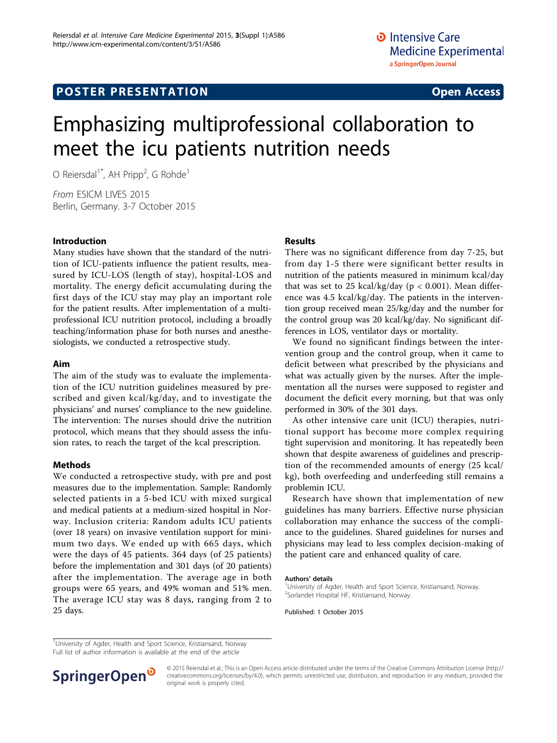# Emphasizing multiprofessional collaboration to meet the icu patients nutrition needs

O Reiersdal<sup>1\*</sup>, AH Pripp<sup>2</sup>, G Rohde<sup>1</sup>

From ESICM LIVES 2015 Berlin, Germany. 3-7 October 2015

#### Introduction

Many studies have shown that the standard of the nutrition of ICU-patients influence the patient results, measured by ICU-LOS (length of stay), hospital-LOS and mortality. The energy deficit accumulating during the first days of the ICU stay may play an important role for the patient results. After implementation of a multiprofessional ICU nutrition protocol, including a broadly teaching/information phase for both nurses and anesthesiologists, we conducted a retrospective study.

#### Aim

The aim of the study was to evaluate the implementation of the ICU nutrition guidelines measured by prescribed and given kcal/kg/day, and to investigate the physicians' and nurses' compliance to the new guideline. The intervention: The nurses should drive the nutrition protocol, which means that they should assess the infusion rates, to reach the target of the kcal prescription.

### Methods

We conducted a retrospective study, with pre and post measures due to the implementation. Sample: Randomly selected patients in a 5-bed ICU with mixed surgical and medical patients at a medium-sized hospital in Norway. Inclusion criteria: Random adults ICU patients (over 18 years) on invasive ventilation support for minimum two days. We ended up with 665 days, which were the days of 45 patients. 364 days (of 25 patients) before the implementation and 301 days (of 20 patients) after the implementation. The average age in both groups were 65 years, and 49% woman and 51% men. The average ICU stay was 8 days, ranging from 2 to 25 days.

#### Results

There was no significant difference from day 7-25, but from day 1-5 there were significant better results in nutrition of the patients measured in minimum kcal/day that was set to 25 kcal/kg/day ( $p < 0.001$ ). Mean difference was 4.5 kcal/kg/day. The patients in the intervention group received mean 25/kg/day and the number for the control group was 20 kcal/kg/day. No significant differences in LOS, ventilator days or mortality.

We found no significant findings between the intervention group and the control group, when it came to deficit between what prescribed by the physicians and what was actually given by the nurses. After the implementation all the nurses were supposed to register and document the deficit every morning, but that was only performed in 30% of the 301 days.

As other intensive care unit (ICU) therapies, nutritional support has become more complex requiring tight supervision and monitoring. It has repeatedly been shown that despite awareness of guidelines and prescription of the recommended amounts of energy (25 kcal/ kg), both overfeeding and underfeeding still remains a problemin ICU.

Research have shown that implementation of new guidelines has many barriers. Effective nurse physician collaboration may enhance the success of the compliance to the guidelines. Shared guidelines for nurses and physicians may lead to less complex decision-making of the patient care and enhanced quality of care.

#### Authors' details <sup>1</sup>

<sup>1</sup>University of Agder, Health and Sport Science, Kristiansand, Norway. 2 Sorlandet Hospital HF, Kristiansand, Norway.

Published: 1 October 2015

<sup>&</sup>lt;sup>1</sup>University of Agder, Health and Sport Science, Kristiansand, Norway Full list of author information is available at the end of the article



© 2015 Reiersdal et al.; This is an Open Access article distributed under the terms of the Creative Commons Attribution License [\(http://](http://creativecommons.org/licenses/by/4.0) [creativecommons.org/licenses/by/4.0](http://creativecommons.org/licenses/by/4.0)), which permits unrestricted use, distribution, and reproduction in any medium, provided the original work is properly cited.